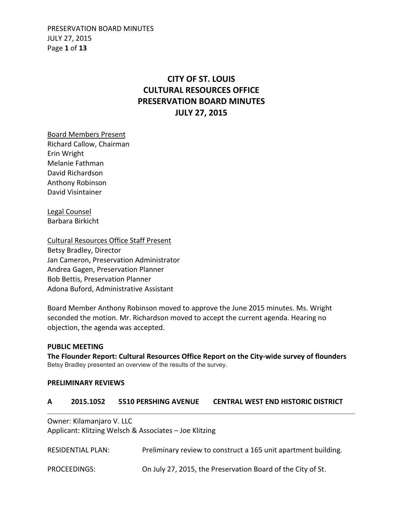PRESERVATION BOARD MINUTES JULY 27, 2015 Page **1** of **13**

## **CITY OF ST. LOUIS CULTURAL RESOURCES OFFICE PRESERVATION BOARD MINUTES JULY 27, 2015**

Board Members Present Richard Callow, Chairman Erin Wright Melanie Fathman David Richardson Anthony Robinson David Visintainer

Legal Counsel Barbara Birkicht

Cultural Resources Office Staff Present Betsy Bradley, Director Jan Cameron, Preservation Administrator Andrea Gagen, Preservation Planner Bob Bettis, Preservation Planner Adona Buford, Administrative Assistant

Board Member Anthony Robinson moved to approve the June 2015 minutes. Ms. Wright seconded the motion. Mr. Richardson moved to accept the current agenda. Hearing no objection, the agenda was accepted.

**PUBLIC MEETING The Flounder Report: Cultural Resources Office Report on the City-wide survey of flounders**  Betsy Bradley presented an overview of the results of the survey.

#### **PRELIMINARY REVIEWS**

#### **A 2015.1052 5510 PERSHING AVENUE CENTRAL WEST END HISTORIC DISTRICT**

Owner: Kilamanjaro V. LLC Applicant: Klitzing Welsch & Associates – Joe Klitzing

RESIDENTIAL PLAN: Preliminary review to construct a 165 unit apartment building. PROCEEDINGS: On July 27, 2015, the Preservation Board of the City of St.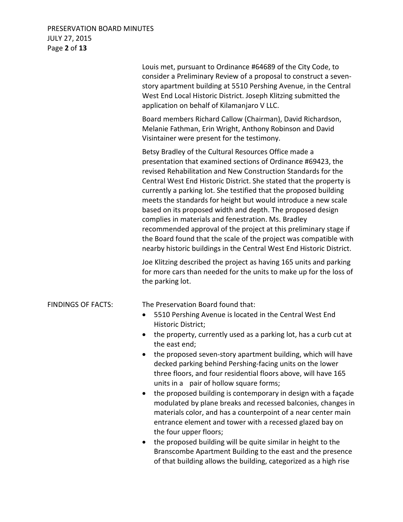## PRESERVATION BOARD MINUTES JULY 27, 2015 Page **2** of **13**

|                           | Louis met, pursuant to Ordinance #64689 of the City Code, to<br>consider a Preliminary Review of a proposal to construct a seven-<br>story apartment building at 5510 Pershing Avenue, in the Central<br>West End Local Historic District. Joseph Klitzing submitted the<br>application on behalf of Kilamanjaro V LLC.                                                                                                                                                                                                                                                                                                                                                                                                                                                                                                     |
|---------------------------|-----------------------------------------------------------------------------------------------------------------------------------------------------------------------------------------------------------------------------------------------------------------------------------------------------------------------------------------------------------------------------------------------------------------------------------------------------------------------------------------------------------------------------------------------------------------------------------------------------------------------------------------------------------------------------------------------------------------------------------------------------------------------------------------------------------------------------|
|                           | Board members Richard Callow (Chairman), David Richardson,<br>Melanie Fathman, Erin Wright, Anthony Robinson and David<br>Visintainer were present for the testimony.                                                                                                                                                                                                                                                                                                                                                                                                                                                                                                                                                                                                                                                       |
|                           | Betsy Bradley of the Cultural Resources Office made a<br>presentation that examined sections of Ordinance #69423, the<br>revised Rehabilitation and New Construction Standards for the<br>Central West End Historic District. She stated that the property is<br>currently a parking lot. She testified that the proposed building<br>meets the standards for height but would introduce a new scale<br>based on its proposed width and depth. The proposed design<br>complies in materials and fenestration. Ms. Bradley<br>recommended approval of the project at this preliminary stage if<br>the Board found that the scale of the project was compatible with<br>nearby historic buildings in the Central West End Historic District.                                                                                  |
|                           | Joe Klitzing described the project as having 165 units and parking<br>for more cars than needed for the units to make up for the loss of<br>the parking lot.                                                                                                                                                                                                                                                                                                                                                                                                                                                                                                                                                                                                                                                                |
| <b>FINDINGS OF FACTS:</b> | The Preservation Board found that:<br>5510 Pershing Avenue is located in the Central West End<br>٠<br>Historic District;<br>the property, currently used as a parking lot, has a curb cut at<br>the east end;<br>the proposed seven-story apartment building, which will have<br>decked parking behind Pershing-facing units on the lower<br>three floors, and four residential floors above, will have 165<br>units in a pair of hollow square forms;<br>the proposed building is contemporary in design with a façade<br>$\bullet$<br>modulated by plane breaks and recessed balconies, changes in<br>materials color, and has a counterpoint of a near center main<br>entrance element and tower with a recessed glazed bay on<br>the four upper floors;<br>the proposed building will be quite similar in height to the |

Branscombe Apartment Building to the east and the presence of that building allows the building, categorized as a high rise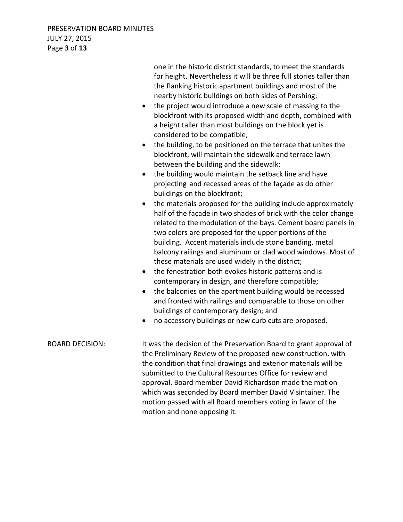one in the historic district standards, to meet the standards for height. Nevertheless it will be three full stories taller than the flanking historic apartment buildings and most of the nearby historic buildings on both sides of Pershing;

- the project would introduce a new scale of massing to the blockfront with its proposed width and depth, combined with a height taller than most buildings on the block yet is considered to be compatible;
- the building, to be positioned on the terrace that unites the blockfront, will maintain the sidewalk and terrace lawn between the building and the sidewalk;
- the building would maintain the setback line and have projecting and recessed areas of the façade as do other buildings on the blockfront;
- the materials proposed for the building include approximately half of the façade in two shades of brick with the color change related to the modulation of the bays. Cement board panels in two colors are proposed for the upper portions of the building. Accent materials include stone banding, metal balcony railings and aluminum or clad wood windows. Most of these materials are used widely in the district;
- the fenestration both evokes historic patterns and is contemporary in design, and therefore compatible;
- the balconies on the apartment building would be recessed and fronted with railings and comparable to those on other buildings of contemporary design; and
- no accessory buildings or new curb cuts are proposed.

BOARD DECISION: It was the decision of the Preservation Board to grant approval of the Preliminary Review of the proposed new construction, with the condition that final drawings and exterior materials will be submitted to the Cultural Resources Office for review and approval. Board member David Richardson made the motion which was seconded by Board member David Visintainer. The motion passed with all Board members voting in favor of the motion and none opposing it.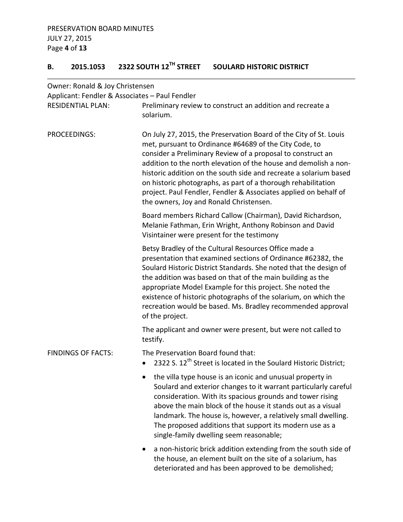# **B. 2015.1053 2322 SOUTH 12TH STREET SOULARD HISTORIC DISTRICT**

| Owner: Ronald & Joy Christensen                                            |                                                                                                                                                                                                                                                                                                                                                                                                                                                                                                                     |
|----------------------------------------------------------------------------|---------------------------------------------------------------------------------------------------------------------------------------------------------------------------------------------------------------------------------------------------------------------------------------------------------------------------------------------------------------------------------------------------------------------------------------------------------------------------------------------------------------------|
| Applicant: Fendler & Associates - Paul Fendler<br><b>RESIDENTIAL PLAN:</b> | Preliminary review to construct an addition and recreate a<br>solarium.                                                                                                                                                                                                                                                                                                                                                                                                                                             |
| PROCEEDINGS:                                                               | On July 27, 2015, the Preservation Board of the City of St. Louis<br>met, pursuant to Ordinance #64689 of the City Code, to<br>consider a Preliminary Review of a proposal to construct an<br>addition to the north elevation of the house and demolish a non-<br>historic addition on the south side and recreate a solarium based<br>on historic photographs, as part of a thorough rehabilitation<br>project. Paul Fendler, Fendler & Associates applied on behalf of<br>the owners, Joy and Ronald Christensen. |
|                                                                            | Board members Richard Callow (Chairman), David Richardson,<br>Melanie Fathman, Erin Wright, Anthony Robinson and David<br>Visintainer were present for the testimony                                                                                                                                                                                                                                                                                                                                                |
|                                                                            | Betsy Bradley of the Cultural Resources Office made a<br>presentation that examined sections of Ordinance #62382, the<br>Soulard Historic District Standards. She noted that the design of<br>the addition was based on that of the main building as the<br>appropriate Model Example for this project. She noted the<br>existence of historic photographs of the solarium, on which the<br>recreation would be based. Ms. Bradley recommended approval<br>of the project.                                          |
|                                                                            | The applicant and owner were present, but were not called to<br>testify.                                                                                                                                                                                                                                                                                                                                                                                                                                            |
| <b>FINDINGS OF FACTS:</b>                                                  | The Preservation Board found that:<br>2322 S. 12 <sup>th</sup> Street is located in the Soulard Historic District;<br>$\bullet$                                                                                                                                                                                                                                                                                                                                                                                     |
|                                                                            | the villa type house is an iconic and unusual property in<br>Soulard and exterior changes to it warrant particularly careful<br>consideration. With its spacious grounds and tower rising<br>above the main block of the house it stands out as a visual<br>landmark. The house is, however, a relatively small dwelling.<br>The proposed additions that support its modern use as a<br>single-family dwelling seem reasonable;                                                                                     |
|                                                                            | a non-historic brick addition extending from the south side of<br>the house, an element built on the site of a solarium, has<br>deteriorated and has been approved to be demolished;                                                                                                                                                                                                                                                                                                                                |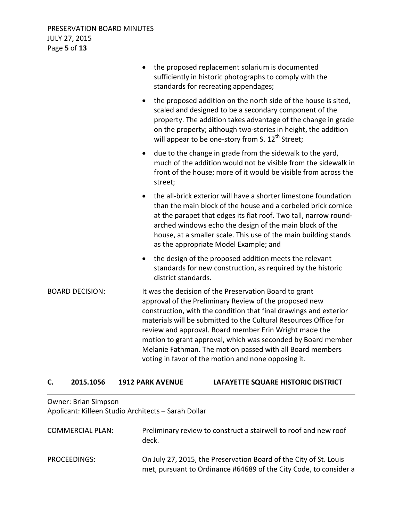|                        | the proposed replacement solarium is documented<br>sufficiently in historic photographs to comply with the<br>standards for recreating appendages;                                                                                                                                                                                                                                                                                                                                                      |
|------------------------|---------------------------------------------------------------------------------------------------------------------------------------------------------------------------------------------------------------------------------------------------------------------------------------------------------------------------------------------------------------------------------------------------------------------------------------------------------------------------------------------------------|
|                        | the proposed addition on the north side of the house is sited,<br>$\bullet$<br>scaled and designed to be a secondary component of the<br>property. The addition takes advantage of the change in grade<br>on the property; although two-stories in height, the addition<br>will appear to be one-story from S. 12 <sup>th</sup> Street;                                                                                                                                                                 |
|                        | due to the change in grade from the sidewalk to the yard,<br>$\bullet$<br>much of the addition would not be visible from the sidewalk in<br>front of the house; more of it would be visible from across the<br>street;                                                                                                                                                                                                                                                                                  |
|                        | the all-brick exterior will have a shorter limestone foundation<br>$\bullet$<br>than the main block of the house and a corbeled brick cornice<br>at the parapet that edges its flat roof. Two tall, narrow round-<br>arched windows echo the design of the main block of the<br>house, at a smaller scale. This use of the main building stands<br>as the appropriate Model Example; and                                                                                                                |
|                        | the design of the proposed addition meets the relevant<br>$\bullet$<br>standards for new construction, as required by the historic<br>district standards.                                                                                                                                                                                                                                                                                                                                               |
| <b>BOARD DECISION:</b> | It was the decision of the Preservation Board to grant<br>approval of the Preliminary Review of the proposed new<br>construction, with the condition that final drawings and exterior<br>materials will be submitted to the Cultural Resources Office for<br>review and approval. Board member Erin Wright made the<br>motion to grant approval, which was seconded by Board member<br>Melanie Fathman. The motion passed with all Board members<br>voting in favor of the motion and none opposing it. |

## **C. 2015.1056 1912 PARK AVENUE LAFAYETTE SQUARE HISTORIC DISTRICT**

Owner: Brian Simpson Applicant: Killeen Studio Architects – Sarah Dollar

| <b>COMMERCIAL PLAN:</b> | Preliminary review to construct a stairwell to roof and new roof<br>deck.                                                              |
|-------------------------|----------------------------------------------------------------------------------------------------------------------------------------|
| PROCEEDINGS:            | On July 27, 2015, the Preservation Board of the City of St. Louis<br>met, pursuant to Ordinance #64689 of the City Code, to consider a |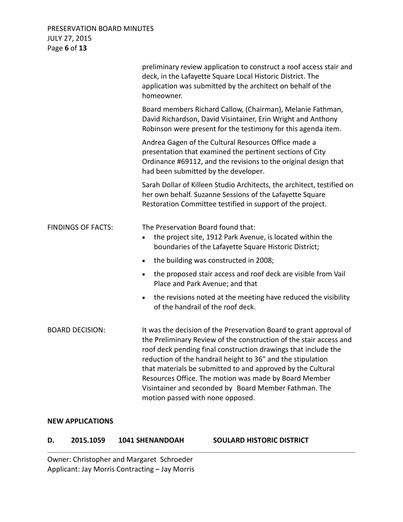## PRESERVATION BOARD MINUTES JULY 27, 2015 Page **6** of **13**

|                           | preliminary review application to construct a roof access stair and<br>deck, in the Lafayette Square Local Historic District. The<br>application was submitted by the architect on behalf of the<br>homeowner.                                                                                                                                                                                                                                                                                 |
|---------------------------|------------------------------------------------------------------------------------------------------------------------------------------------------------------------------------------------------------------------------------------------------------------------------------------------------------------------------------------------------------------------------------------------------------------------------------------------------------------------------------------------|
|                           | Board members Richard Callow, (Chairman), Melanie Fathman,<br>David Richardson, David Visintainer, Erin Wright and Anthony<br>Robinson were present for the testimony for this agenda item.                                                                                                                                                                                                                                                                                                    |
|                           | Andrea Gagen of the Cultural Resources Office made a<br>presentation that examined the pertinent sections of City<br>Ordinance #69112, and the revisions to the original design that<br>had been submitted by the developer.                                                                                                                                                                                                                                                                   |
|                           | Sarah Dollar of Killeen Studio Architects, the architect, testified on<br>her own behalf. Suzanne Sessions of the Lafayette Square<br>Restoration Committee testified in support of the project.                                                                                                                                                                                                                                                                                               |
| <b>FINDINGS OF FACTS:</b> | The Preservation Board found that:<br>the project site, 1912 Park Avenue, is located within the<br>$\bullet$<br>boundaries of the Lafayette Square Historic District;                                                                                                                                                                                                                                                                                                                          |
|                           | the building was constructed in 2008;<br>$\bullet$                                                                                                                                                                                                                                                                                                                                                                                                                                             |
|                           | the proposed stair access and roof deck are visible from Vail<br>$\bullet$<br>Place and Park Avenue; and that                                                                                                                                                                                                                                                                                                                                                                                  |
|                           | the revisions noted at the meeting have reduced the visibility<br>$\bullet$<br>of the handrail of the roof deck.                                                                                                                                                                                                                                                                                                                                                                               |
| <b>BOARD DECISION:</b>    | It was the decision of the Preservation Board to grant approval of<br>the Preliminary Review of the construction of the stair access and<br>roof deck pending final construction drawings that include the<br>reduction of the handrail height to 36" and the stipulation<br>that materials be submitted to and approved by the Cultural<br>Resources Office. The motion was made by Board Member<br>Visintainer and seconded by Board Member Fathman. The<br>motion passed with none opposed. |

#### **NEW APPLICATIONS**

#### **D. 2015.1059 1041 SHENANDOAH SOULARD HISTORIC DISTRICT**

Owner: Christopher and Margaret Schroeder Applicant: Jay Morris Contracting – Jay Morris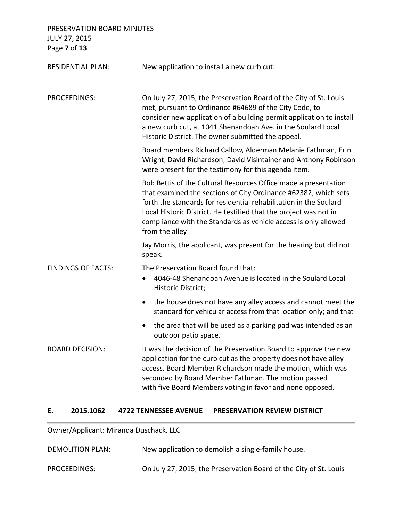PRESERVATION BOARD MINUTES JULY 27, 2015 Page **7** of **13**

RESIDENTIAL PLAN: New application to install a new curb cut. PROCEEDINGS: On July 27, 2015, the Preservation Board of the City of St. Louis met, pursuant to Ordinance #64689 of the City Code, to consider new application of a building permit application to install a new curb cut, at 1041 Shenandoah Ave. in the Soulard Local Historic District. The owner submitted the appeal. Board members Richard Callow, Alderman Melanie Fathman, Erin Wright, David Richardson, David Visintainer and Anthony Robinson were present for the testimony for this agenda item. Bob Bettis of the Cultural Resources Office made a presentation that examined the sections of City Ordinance #62382, which sets forth the standards for residential rehabilitation in the Soulard Local Historic District. He testified that the project was not in compliance with the Standards as vehicle access is only allowed from the alley Jay Morris, the applicant, was present for the hearing but did not speak. FINDINGS OF FACTS: The Preservation Board found that: • 4046-48 Shenandoah Avenue is located in the Soulard Local Historic District; • the house does not have any alley access and cannot meet the standard for vehicular access from that location only; and that • the area that will be used as a parking pad was intended as an outdoor patio space. BOARD DECISION: It was the decision of the Preservation Board to approve the new application for the curb cut as the property does not have alley access. Board Member Richardson made the motion, which was seconded by Board Member Fathman. The motion passed

#### **E. 2015.1062 4722 TENNESSEE AVENUE PRESERVATION REVIEW DISTRICT**

Owner/Applicant: Miranda Duschack, LLC

| <b>DEMOLITION PLAN:</b> | New application to demolish a single-family house.                |
|-------------------------|-------------------------------------------------------------------|
| PROCEEDINGS:            | On July 27, 2015, the Preservation Board of the City of St. Louis |

with five Board Members voting in favor and none opposed.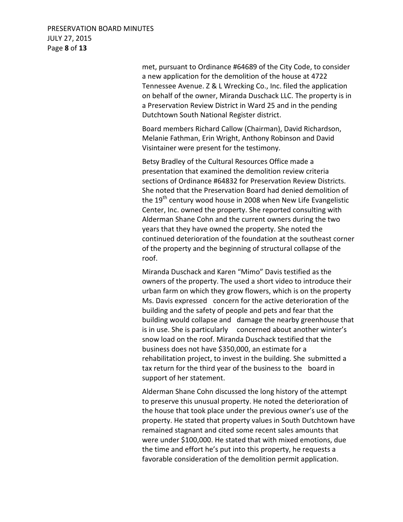## PRESERVATION BOARD MINUTES JULY 27, 2015 Page **8** of **13**

 met, pursuant to Ordinance #64689 of the City Code, to consider a new application for the demolition of the house at 4722 Tennessee Avenue. Z & L Wrecking Co., Inc. filed the application on behalf of the owner, Miranda Duschack LLC. The property is in a Preservation Review District in Ward 25 and in the pending Dutchtown South National Register district.

 Board members Richard Callow (Chairman), David Richardson, Melanie Fathman, Erin Wright, Anthony Robinson and David Visintainer were present for the testimony.

 Betsy Bradley of the Cultural Resources Office made a presentation that examined the demolition review criteria sections of Ordinance #64832 for Preservation Review Districts. She noted that the Preservation Board had denied demolition of the  $19<sup>th</sup>$  century wood house in 2008 when New Life Evangelistic Center, Inc. owned the property. She reported consulting with Alderman Shane Cohn and the current owners during the two years that they have owned the property. She noted the continued deterioration of the foundation at the southeast corner of the property and the beginning of structural collapse of the roof.

 Miranda Duschack and Karen "Mimo" Davis testified as the owners of the property. The used a short video to introduce their urban farm on which they grow flowers, which is on the property Ms. Davis expressed concern for the active deterioration of the building and the safety of people and pets and fear that the building would collapse and damage the nearby greenhouse that is in use. She is particularly concerned about another winter's snow load on the roof. Miranda Duschack testified that the business does not have \$350,000, an estimate for a rehabilitation project, to invest in the building. She submitted a tax return for the third year of the business to the board in support of her statement.

 Alderman Shane Cohn discussed the long history of the attempt to preserve this unusual property. He noted the deterioration of the house that took place under the previous owner's use of the property. He stated that property values in South Dutchtown have remained stagnant and cited some recent sales amounts that were under \$100,000. He stated that with mixed emotions, due the time and effort he's put into this property, he requests a favorable consideration of the demolition permit application.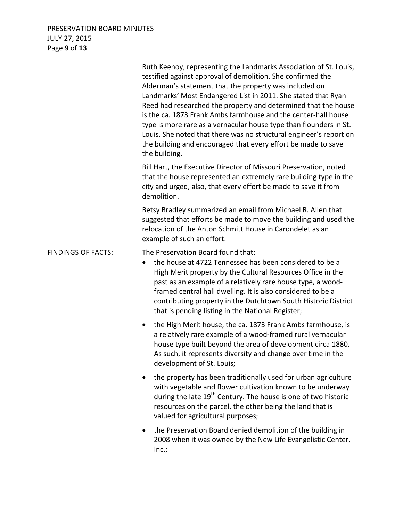## PRESERVATION BOARD MINUTES JULY 27, 2015 Page **9** of **13**

|                           | Ruth Keenoy, representing the Landmarks Association of St. Louis,<br>testified against approval of demolition. She confirmed the<br>Alderman's statement that the property was included on<br>Landmarks' Most Endangered List in 2011. She stated that Ryan<br>Reed had researched the property and determined that the house<br>is the ca. 1873 Frank Ambs farmhouse and the center-hall house<br>type is more rare as a vernacular house type than flounders in St.<br>Louis. She noted that there was no structural engineer's report on<br>the building and encouraged that every effort be made to save<br>the building. |
|---------------------------|-------------------------------------------------------------------------------------------------------------------------------------------------------------------------------------------------------------------------------------------------------------------------------------------------------------------------------------------------------------------------------------------------------------------------------------------------------------------------------------------------------------------------------------------------------------------------------------------------------------------------------|
|                           | Bill Hart, the Executive Director of Missouri Preservation, noted<br>that the house represented an extremely rare building type in the<br>city and urged, also, that every effort be made to save it from<br>demolition.                                                                                                                                                                                                                                                                                                                                                                                                      |
|                           | Betsy Bradley summarized an email from Michael R. Allen that<br>suggested that efforts be made to move the building and used the<br>relocation of the Anton Schmitt House in Carondelet as an<br>example of such an effort.                                                                                                                                                                                                                                                                                                                                                                                                   |
| <b>FINDINGS OF FACTS:</b> | The Preservation Board found that:<br>the house at 4722 Tennessee has been considered to be a<br>$\bullet$<br>High Merit property by the Cultural Resources Office in the<br>past as an example of a relatively rare house type, a wood-<br>framed central hall dwelling. It is also considered to be a<br>contributing property in the Dutchtown South Historic District<br>that is pending listing in the National Register;                                                                                                                                                                                                |
|                           | the High Merit house, the ca. 1873 Frank Ambs farmhouse, is<br>$\bullet$<br>a relatively rare example of a wood-framed rural vernacular<br>house type built beyond the area of development circa 1880.<br>As such, it represents diversity and change over time in the<br>development of St. Louis;                                                                                                                                                                                                                                                                                                                           |
|                           | the property has been traditionally used for urban agriculture<br>with vegetable and flower cultivation known to be underway<br>during the late 19 <sup>th</sup> Century. The house is one of two historic<br>resources on the parcel, the other being the land that is<br>valued for agricultural purposes;                                                                                                                                                                                                                                                                                                                  |
|                           | the Preservation Board denied demolition of the building in<br>2008 when it was owned by the New Life Evangelistic Center,<br>Inc.;                                                                                                                                                                                                                                                                                                                                                                                                                                                                                           |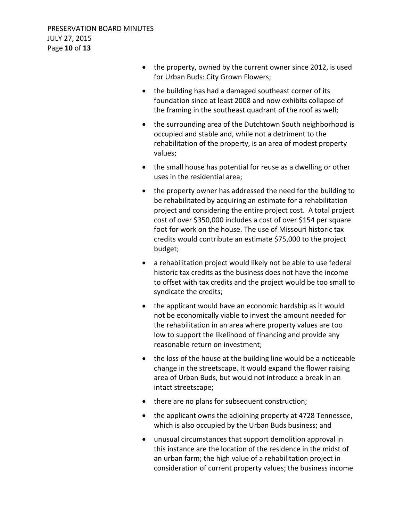- the property, owned by the current owner since 2012, is used for Urban Buds: City Grown Flowers;
- the building has had a damaged southeast corner of its foundation since at least 2008 and now exhibits collapse of the framing in the southeast quadrant of the roof as well;
- the surrounding area of the Dutchtown South neighborhood is occupied and stable and, while not a detriment to the rehabilitation of the property, is an area of modest property values;
- the small house has potential for reuse as a dwelling or other uses in the residential area;
- the property owner has addressed the need for the building to be rehabilitated by acquiring an estimate for a rehabilitation project and considering the entire project cost. A total project cost of over \$350,000 includes a cost of over \$154 per square foot for work on the house. The use of Missouri historic tax credits would contribute an estimate \$75,000 to the project budget;
- a rehabilitation project would likely not be able to use federal historic tax credits as the business does not have the income to offset with tax credits and the project would be too small to syndicate the credits;
- the applicant would have an economic hardship as it would not be economically viable to invest the amount needed for the rehabilitation in an area where property values are too low to support the likelihood of financing and provide any reasonable return on investment;
- the loss of the house at the building line would be a noticeable change in the streetscape. It would expand the flower raising area of Urban Buds, but would not introduce a break in an intact streetscape;
- there are no plans for subsequent construction;
- the applicant owns the adjoining property at 4728 Tennessee, which is also occupied by the Urban Buds business; and
- unusual circumstances that support demolition approval in this instance are the location of the residence in the midst of an urban farm; the high value of a rehabilitation project in consideration of current property values; the business income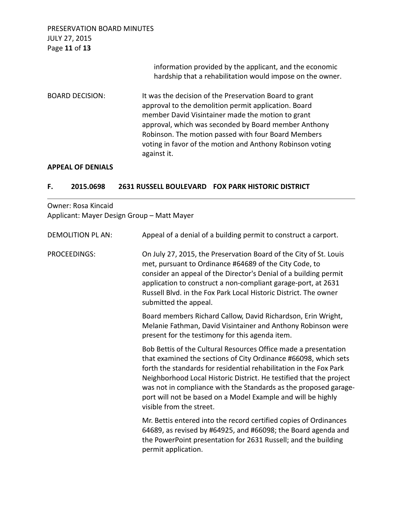PRESERVATION BOARD MINUTES JULY 27, 2015 Page **11** of **13** information provided by the applicant, and the economic hardship that a rehabilitation would impose on the owner. BOARD DECISION: It was the decision of the Preservation Board to grant approval to the demolition permit application. Board member David Visintainer made the motion to grant approval, which was seconded by Board member Anthony Robinson. The motion passed with four Board Members voting in favor of the motion and Anthony Robinson voting against it.

#### **APPEAL OF DENIALS**

#### **F. 2015.0698 2631 RUSSELL BOULEVARD FOX PARK HISTORIC DISTRICT**

## Owner: Rosa Kincaid Applicant: Mayer Design Group – Matt Mayer

| <b>DEMOLITION PL AN:</b> | Appeal of a denial of a building permit to construct a carport.                                                                                                                                                                                                                                                                                                                                                                                 |
|--------------------------|-------------------------------------------------------------------------------------------------------------------------------------------------------------------------------------------------------------------------------------------------------------------------------------------------------------------------------------------------------------------------------------------------------------------------------------------------|
| PROCEEDINGS:             | On July 27, 2015, the Preservation Board of the City of St. Louis<br>met, pursuant to Ordinance #64689 of the City Code, to<br>consider an appeal of the Director's Denial of a building permit<br>application to construct a non-compliant garage-port, at 2631<br>Russell Blvd. in the Fox Park Local Historic District. The owner<br>submitted the appeal.                                                                                   |
|                          | Board members Richard Callow, David Richardson, Erin Wright,<br>Melanie Fathman, David Visintainer and Anthony Robinson were<br>present for the testimony for this agenda item.                                                                                                                                                                                                                                                                 |
|                          | Bob Bettis of the Cultural Resources Office made a presentation<br>that examined the sections of City Ordinance #66098, which sets<br>forth the standards for residential rehabilitation in the Fox Park<br>Neighborhood Local Historic District. He testified that the project<br>was not in compliance with the Standards as the proposed garage-<br>port will not be based on a Model Example and will be highly<br>visible from the street. |
|                          | Mr. Bettis entered into the record certified copies of Ordinances<br>64689, as revised by #64925, and #66098; the Board agenda and<br>the PowerPoint presentation for 2631 Russell; and the building<br>permit application.                                                                                                                                                                                                                     |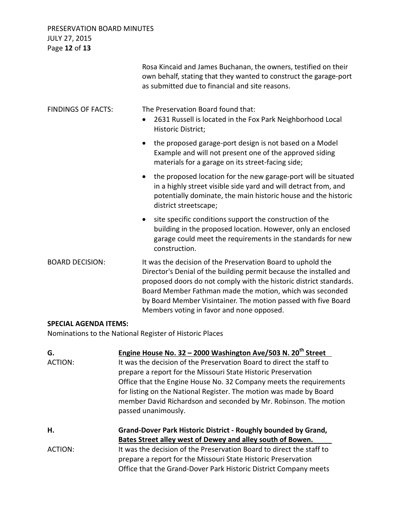## PRESERVATION BOARD MINUTES JULY 27, 2015 Page **12** of **13**

|                                                         | Rosa Kincaid and James Buchanan, the owners, testified on their<br>own behalf, stating that they wanted to construct the garage-port<br>as submitted due to financial and site reasons.                                                                                                                                                                                            |
|---------------------------------------------------------|------------------------------------------------------------------------------------------------------------------------------------------------------------------------------------------------------------------------------------------------------------------------------------------------------------------------------------------------------------------------------------|
| <b>FINDINGS OF FACTS:</b>                               | The Preservation Board found that:<br>2631 Russell is located in the Fox Park Neighborhood Local<br>$\bullet$<br>Historic District;                                                                                                                                                                                                                                                |
|                                                         | the proposed garage-port design is not based on a Model<br>Example and will not present one of the approved siding<br>materials for a garage on its street-facing side;                                                                                                                                                                                                            |
|                                                         | the proposed location for the new garage-port will be situated<br>$\bullet$<br>in a highly street visible side yard and will detract from, and<br>potentially dominate, the main historic house and the historic<br>district streetscape;                                                                                                                                          |
|                                                         | site specific conditions support the construction of the<br>$\bullet$<br>building in the proposed location. However, only an enclosed<br>garage could meet the requirements in the standards for new<br>construction.                                                                                                                                                              |
| <b>BOARD DECISION:</b>                                  | It was the decision of the Preservation Board to uphold the<br>Director's Denial of the building permit because the installed and<br>proposed doors do not comply with the historic district standards.<br>Board Member Fathman made the motion, which was seconded<br>by Board Member Visintainer. The motion passed with five Board<br>Members voting in favor and none opposed. |
| <b>SPECIAL AGENDA ITEMS:</b>                            |                                                                                                                                                                                                                                                                                                                                                                                    |
| Nominations to the National Register of Historic Places |                                                                                                                                                                                                                                                                                                                                                                                    |

Nominations to the National Register of Historic Places

| G.<br>ACTION: | Engine House No. 32 – 2000 Washington Ave/503 N. 20 <sup>th</sup> Street<br>It was the decision of the Preservation Board to direct the staff to<br>prepare a report for the Missouri State Historic Preservation<br>Office that the Engine House No. 32 Company meets the requirements<br>for listing on the National Register. The motion was made by Board<br>member David Richardson and seconded by Mr. Robinson. The motion<br>passed unanimously. |
|---------------|----------------------------------------------------------------------------------------------------------------------------------------------------------------------------------------------------------------------------------------------------------------------------------------------------------------------------------------------------------------------------------------------------------------------------------------------------------|
| Η.            | Grand-Dover Park Historic District - Roughly bounded by Grand,                                                                                                                                                                                                                                                                                                                                                                                           |
| ACTION:       | Bates Street alley west of Dewey and alley south of Bowen.<br>It was the decision of the Preservation Board to direct the staff to                                                                                                                                                                                                                                                                                                                       |
|               | prepare a report for the Missouri State Historic Preservation<br>Office that the Grand-Dover Park Historic District Company meets                                                                                                                                                                                                                                                                                                                        |